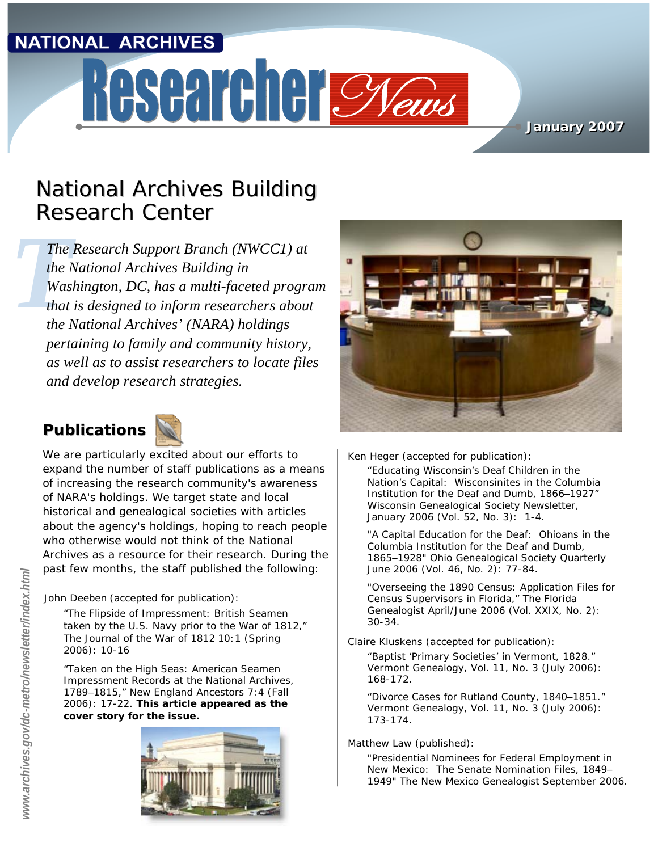#### **NATIONAL ARCHIVES**

# Researcher Meus

#### **January 2007 January 2007**

### **National Archives Building** Research Center

*The*<br>the *I*<br>Was<br>that<br>the *I The Research Support Branch (NWCC1) at the National Archives Building in Washington, DC, has a multi-faceted program that is designed to inform researchers about the National Archives' (NARA) holdings pertaining to family and community history, as well as to assist researchers to locate files and develop research strategies.* 

#### **Publications**



We are particularly excited about our efforts to expand the number of staff publications as a means of increasing the research community's awareness of NARA's holdings. We target state and local historical and genealogical societies with articles about the agency's holdings, hoping to reach people who otherwise would not think of the National Archives as a resource for their research. During the past few months, the staff published the following:

John Deeben (accepted for publication):

"The Flipside of Impressment: British Seamen taken by the U.S. Navy prior to the War of 1812," *The Journal of the War of 1812* 10:1 (Spring 2006): 10-16

"Taken on the High Seas: American Seamen Impressment Records at the National Archives, 1789–1815," *New England Ancestors* 7:4 (Fall 2006): 17-22. **This article appeared as the cover story for the issue.**





Ken Heger (accepted for publication):

"Educating Wisconsin's Deaf Children in the Nation's Capital: Wisconsinites in the Columbia Institution for the Deaf and Dumb, 1866–1927" *Wisconsin Genealogical Society Newsletter,*  January 2006 (Vol. 52, No. 3): 1-4.

"A Capital Education for the Deaf: Ohioans in the Columbia Institution for the Deaf and Dumb, 1865–1928" *Ohio Genealogical Society Quarterly* June 2006 (Vol. 46, No. 2): 77-84.

"Overseeing the 1890 Census: Application Files for Census Supervisors in Florida," *The Florida Genealogist* April/June 2006 (Vol. XXIX, No. 2): 30-34.

Claire Kluskens (accepted for publication):

"Baptist 'Primary Societies' in Vermont, 1828." *Vermont Genealogy*, Vol. 11, No. 3 (July 2006): 168-172.

"Divorce Cases for Rutland County, 1840–1851." *Vermont Genealogy,* Vol. 11, No. 3 (July 2006): 173-174.

Matthew Law (published):

"Presidential Nominees for Federal Employment in New Mexico: The Senate Nomination Files, 1849– 1949" *The New Mexico Genealogist* September 2006.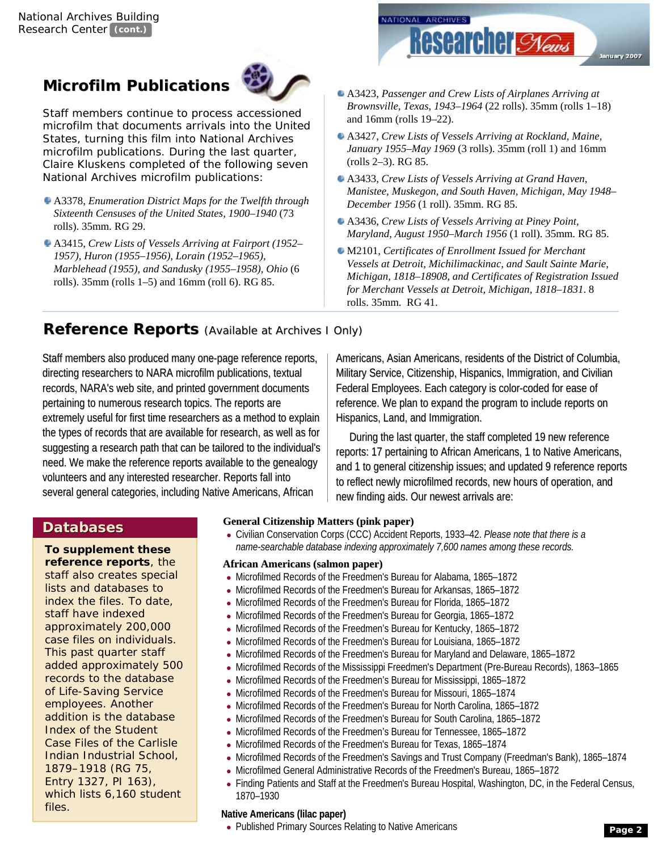#### **Microfilm Publications**



Staff members continue to process accessioned microfilm that documents arrivals into the United States, turning this film into National Archives microfilm publications. During the last quarter, Claire Kluskens completed of the following seven National Archives microfilm publications:

- A3378, *Enumeration District Maps for the Twelfth through Sixteenth Censuses of the United States, 1900–1940* (73 rolls). 35mm. RG 29.
- A3415, *Crew Lists of Vessels Arriving at Fairport (1952– 1957), Huron (1955–1956), Lorain (1952–1965), Marblehead (1955), and Sandusky (1955–1958), Ohio* (6 rolls). 35mm (rolls 1–5) and 16mm (roll 6). RG 85.



- A3423, *Passenger and Crew Lists of Airplanes Arriving at Brownsville, Texas, 1943–1964* (22 rolls). 35mm (rolls 1–18) and 16mm (rolls 19–22).
- A3427, *Crew Lists of Vessels Arriving at Rockland, Maine, January 1955–May 1969* (3 rolls). 35mm (roll 1) and 16mm (rolls 2–3). RG 85.
- A3433, *Crew Lists of Vessels Arriving at Grand Haven, Manistee, Muskegon, and South Haven, Michigan, May 1948– December 1956* (1 roll). 35mm. RG 85.
- A3436, *Crew Lists of Vessels Arriving at Piney Point, Maryland, August 1950–March 1956* (1 roll). 35mm. RG 85.
- M2101*, Certificates of Enrollment Issued for Merchant Vessels at Detroit, Michilimackinac, and Sault Sainte Marie, Michigan, 1818–18908, and Certificates of Registration Issued for Merchant Vessels at Detroit, Michigan, 1818–1831*. 8 rolls. 35mm. RG 41.

Americans, Asian Americans, residents of the District of Columbia, Military Service, Citizenship, Hispanics, Immigration, and Civilian Federal Employees. Each category is color-coded for ease of reference. We plan to expand the program to include reports on

During the last quarter, the staff completed 19 new reference reports: 17 pertaining to African Americans, 1 to Native Americans, and 1 to general citizenship issues; and updated 9 reference reports to reflect newly microfilmed records, new hours of operation, and

#### **Reference Reports** *(Available at Archives I Only)*

Staff members also produced many one-page reference reports, directing researchers to NARA microfilm publications, textual records, NARA's web site, and printed government documents pertaining to numerous research topics. The reports are extremely useful for first time researchers as a method to explain the types of records that are available for research, as well as for suggesting a research path that can be tailored to the individual's need. We make the reference reports available to the genealogy volunteers and any interested researcher. Reports fall into several general categories, including Native Americans, African

#### **Databases Databases**

**To supplement these reference reports**, the staff also creates special lists and databases to index the files. To date, staff have indexed approximately 200,000 case files on individuals. This past quarter staff added approximately 500 records to the database of Life-Saving Service employees. Another addition is the database *Index of the Student Case Files of the Carlisle Indian Industrial School, 1879–1918* (RG 75, Entry 1327, PI 163), which lists 6,160 student files.

**General Citizenship Matters (pink paper) General Citizenship Matters (pink paper)**

● Civilian Conservation Corps (CCC) Accident Reports, 1933–42. *Please note that there is a name-searchable database indexing approximately 7,600 names among these records.*

new finding aids. Our newest arrivals are:

Hispanics, Land, and Immigration.

#### **African Americans (salmon paper) African Americans (salmon paper)**

- Microfilmed Records of the Freedmen's Bureau for Alabama, 1865-1872
- Microfilmed Records of the Freedmen's Bureau for Arkansas, 1865-1872
- Microfilmed Records of the Freedmen's Bureau for Florida, 1865-1872
- Microfilmed Records of the Freedmen's Bureau for Georgia, 1865-1872
- Microfilmed Records of the Freedmen's Bureau for Kentucky, 1865-1872
- Microfilmed Records of the Freedmen's Bureau for Louisiana, 1865–1872
- Microfilmed Records of the Freedmen's Bureau for Maryland and Delaware, 1865-1872
- Microfilmed Records of the Mississippi Freedmen's Department (Pre-Bureau Records), 1863-1865
- Microfilmed Records of the Freedmen's Bureau for Mississippi, 1865-1872
- Microfilmed Records of the Freedmen's Bureau for Missouri, 1865–1874
- Microfilmed Records of the Freedmen's Bureau for North Carolina, 1865–1872
- Microfilmed Records of the Freedmen's Bureau for South Carolina, 1865-1872
- Microfilmed Records of the Freedmen's Bureau for Tennessee, 1865-1872
- Microfilmed Records of the Freedmen's Bureau for Texas, 1865–1874
- Microfilmed Records of the Freedmen's Savings and Trust Company (Freedman's Bank), 1865–1874
- Microfilmed General Administrative Records of the Freedmen's Bureau, 1865–1872
- Finding Patients and Staff at the Freedmen's Bureau Hospital, Washington, DC, in the Federal Census, 1870–1930

#### **Native Americans (lilac paper)**

• Published Primary Sources Relating to Native Americans **Page 2** Page 2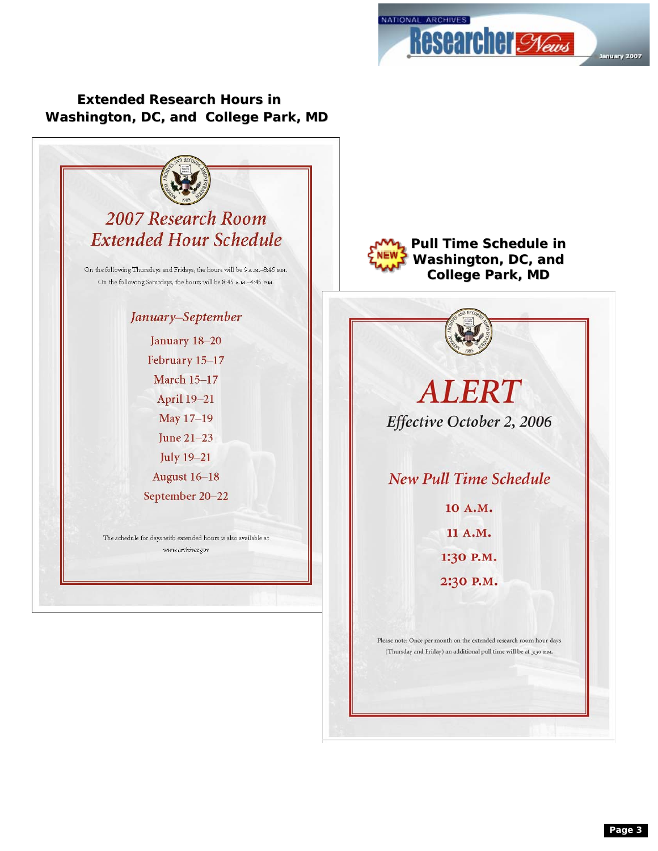

**Washington, DC, and College Park, MD Extended Research Hours in**



**Washington, DC, and College Park, MD Pull Time Schedule in**



**New Pull Time Schedule** 

10 A.M. 11 A.M. 1:30 P.M. 2:30 P.M.

Please note: Once per month on the extended research room hour days (Thursday and Friday) an additional pull time will be at 3:30  $\rm{_PM}.$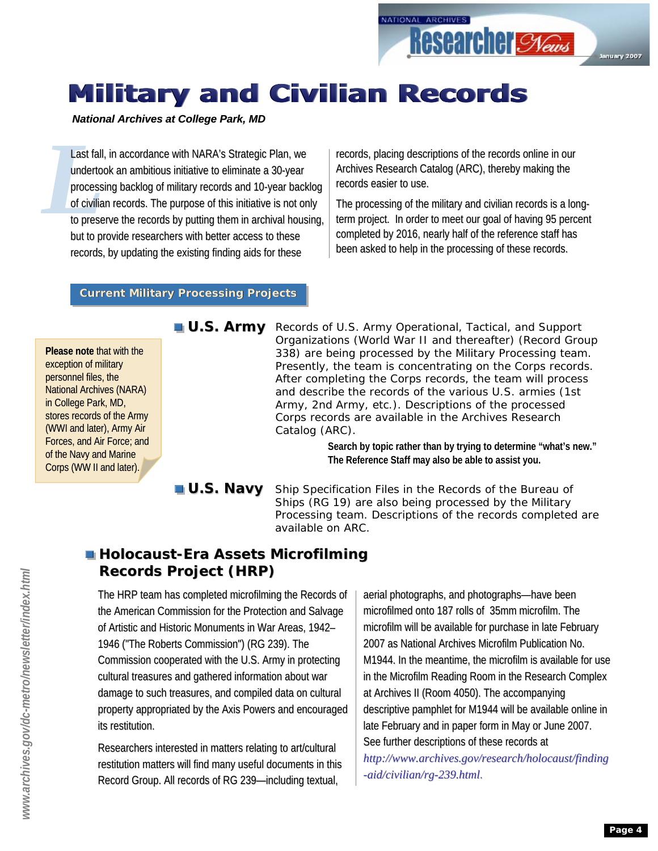## **Military and Civilian Records**

#### *National Archives at College Park, MD*

Last fall<br>
underto<br>
process<br>
of civilia<br>
to prese Last fall, in accordance with NARA's Strategic Plan, we undertook an ambitious initiative to eliminate a 30-year processing backlog of military records and 10-year backlog of civilian records. The purpose of this initiative is not only to preserve the records by putting them in archival housing, but to provide researchers with better access to these records, by updating the existing finding aids for these

records, placing descriptions of the records online in our Archives Research Catalog (ARC), thereby making the records easier to use.

The processing of the military and civilian records is a longterm project. In order to meet our goal of having 95 percent completed by 2016, nearly half of the reference staff has been asked to help in the processing of these records.

#### **Current Military Processing Projects Current Military Processing Projects**

**Please note** that with the exception of military personnel files, the National Archives (NARA) in College Park, MD, stores records of the Army (WWI and later), Army Air Forces, and Air Force; and of the Navy and Marine Corps (WW II and later).

U.S. Army Records of U.S. Army Operational, Tactical, and Support Organizations (World War II and thereafter) (Record Group 338) are being processed by the Military Processing team. Presently, the team is concentrating on the Corps records. After completing the Corps records, the team will process and describe the records of the various U.S. armies (1st Army, 2nd Army, etc.). *Descriptions of the processed Corps records are available in the Archives Research Catalog (ARC).*

> **Search by topic rather than by trying to determine "what's new." The Reference Staff may also be able to assist you.**

Ship Specification Files in the Records of the Bureau of Ships (RG 19) are also being processed by the Military Processing team. Descriptions of the records completed are available on ARC. **U.S. Navy**

#### **Holocaust-Era Assets Microfilming Records Project (HRP) Records Project (HRP)**

The HRP team has completed microfilming the Records of the American Commission for the Protection and Salvage of Artistic and Historic Monuments in War Areas, 1942– 1946 ("The Roberts Commission") (RG 239). The Commission cooperated with the U.S. Army in protecting cultural treasures and gathered information about war damage to such treasures, and compiled data on cultural property appropriated by the Axis Powers and encouraged its restitution.

Researchers interested in matters relating to art/cultural restitution matters will find many useful documents in this Record Group. All records of RG 239-including textual,

aerial photographs, and photographs—have been microfilmed onto 187 rolls of 35mm microfilm. The microfilm will be available for purchase in late February 2007 as National Archives Microfilm Publication No. M1944. In the meantime, the microfilm is available for use in the Microfilm Reading Room in the Research Complex at Archives II (Room 4050). The accompanying descriptive pamphlet for M1944 will be available online in late February and in paper form in May or June 2007. See further descriptions of these records at *http://www.archives.gov/research/holocaust/finding -aid/civilian/rg-239.html 239.html*.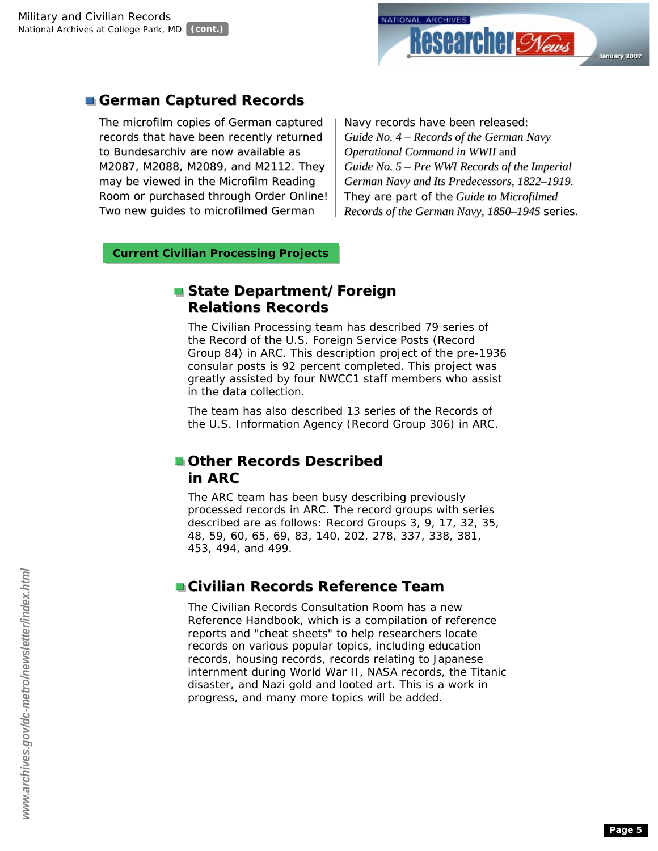

#### **German Captured Records German Captured Records**

The microfilm copies of German captured records that have been recently returned to Bundesarchiv are now available as M2087, M2088, M2089, and M2112. They may be viewed in the Microfilm Reading Room or purchased through Order Online! Two new quides to microfilmed German

Navy records have been released: *Guide No. 4 – Records of the German Navy Operational Command in WWII* and *Guide No. 5 – Pre WWI Records of the Imperial German Navy and Its Predecessors, 1822–1919*. They are part of the *Guide to Microfilmed Records of the German Navy, 1850–1945* series*.*

#### **Current Civilian Processing Projects Current Civilian Processing Projects**

#### **State Department/Foreign Relations Records Relations Records**

The Civilian Processing team has described 79 series of the Record of the U.S. Foreign Service Posts (Record Group 84) in ARC. This description project of the pre-1936 consular posts is 92 percent completed. This project was greatly assisted by four NWCC1 staff members who assist in the data collection.

The team has also described 13 series of the Records of the U.S. Information Agency (Record Group 306) in ARC.

#### **Other Records Described in ARC**

The ARC team has been busy describing previously processed records in ARC. The record groups with series described are as follows: Record Groups 3, 9, 17, 32, 35, 48, 59, 60, 65, 69, 83, 140, 202, 278, 337, 338, 381, 453, 494, and 499.

#### **Civilian Records Reference Team**

The Civilian Records Consultation Room has a new Reference Handbook, which is a compilation of reference reports and "cheat sheets" to help researchers locate records on various popular topics, including education records, housing records, records relating to Japanese internment during World War II, NASA records, the Titanic disaster, and Nazi gold and looted art. This is a work in progress, and many more topics will be added.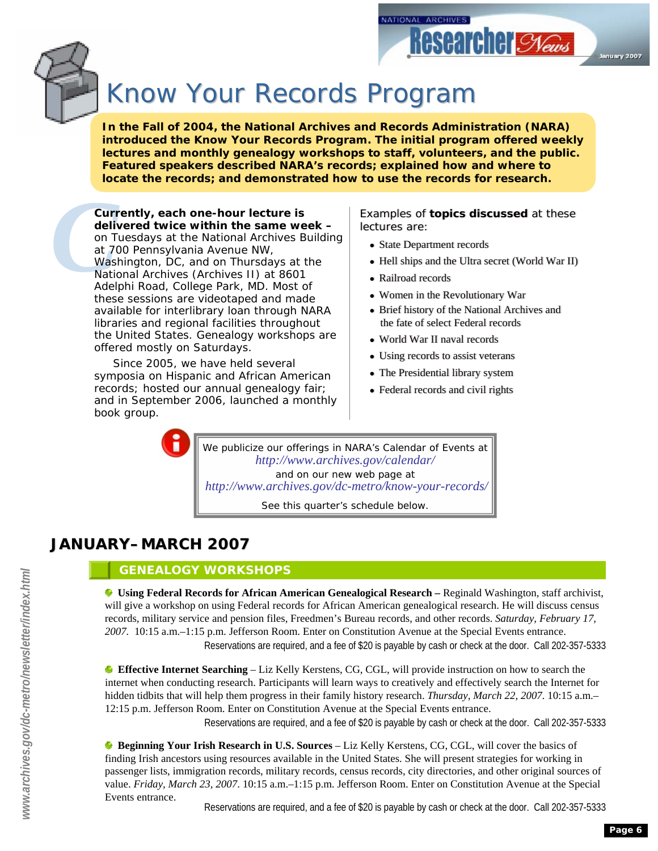

# Know Your Records Program

**In the Fall of 2004, the National Archives and Records Administration (NARA) introduced the Know Your Records Program. The initial program offered weekly lectures and monthly genealogy workshops to staff, volunteers, and the public. Featured speakers described NARA's records; explained how and where to locate the records; and demonstrated how to use the records for research.**

**Curr**<br>deliv<br>on T<br>at 7(<br>Wasl<br>Natio<br>Adel **Currently, each one-hour lecture is delivered twice within the same week –** on Tuesdays at the National Archives Building at 700 Pennsylvania Avenue NW, Washington, DC, and on Thursdays at the National Archives (Archives II) at 8601 Adelphi Road, College Park, MD. Most of these sessions are videotaped and made available for interlibrary loan through NARA libraries and regional facilities throughout the United States. Genealogy workshops are offered mostly on Saturdays.

> Since 2005, we have held several symposia on Hispanic and African American records; hosted our annual genealogy fair; and in September 2006, launched a monthly book group.

Examples of **topics discussed** at these Examples of **topics discussed** at these lectures are: lectures are:

**Researcher Syews** 

ianuary 2007

● State Department records ● State Department records

NATIONAL ARCHIVES

- Hell ships and the Ultra secret (World War II) Hell ships and the Ultra secret (World War II)
- Railroad records Railroad records
- Women in the Revolutionary War Women in the Revolutionary War
- Brief history of the National Archives and Brief history of the National Archives and the fate of select Federal records the fate of select Federal records
- World War II naval records World War II naval records
- Using records to assist veterans Using records to assist veterans
- The Presidential library system
- Federal records and civil rights Federal records and civil rights

We publicize our offerings in NARA's *Calendar of Events* at *http://www.archives.gov/calendar/* and on our new web page at *http://www.archives.gov/dc-metro/know-your-records/*

See this quarter's schedule below.

#### **JANUARY–MARCH 2007**

#### **GENEALOGY WORKSHOPS**

**Using Federal Records for African American Genealogical Research –** Reginald Washington, staff archivist, will give a workshop on using Federal records for African American genealogical research. He will discuss census records, military service and pension files, Freedmen's Bureau records, and other records. *Saturday, February 17, 2007.* 10:15 a.m.–1:15 p.m. Jefferson Room. Enter on Constitution Avenue at the Special Events entrance. Reservations are required, and a fee of \$20 is payable by cash or check at the door. Call 202-357-5333

**Effective Internet Searching** – Liz Kelly Kerstens, CG, CGL, will provide instruction on how to search the internet when conducting research. Participants will learn ways to creatively and effectively search the Internet for hidden tidbits that will help them progress in their family history research. *Thursday, March 22, 2007.* 10:15 a.m.– 12:15 p.m. Jefferson Room. Enter on Constitution Avenue at the Special Events entrance.

Reservations are required, and a fee of \$20 is payable by cash or check at the door. Call 202-357-5333

**Beginning Your Irish Research in U.S. Sources** – Liz Kelly Kerstens, CG, CGL, will cover the basics of finding Irish ancestors using resources available in the United States. She will present strategies for working in passenger lists, immigration records, military records, census records, city directories, and other original sources of value. *Friday, March 23, 2007*. 10:15 a.m.–1:15 p.m. Jefferson Room. Enter on Constitution Avenue at the Special Events entrance.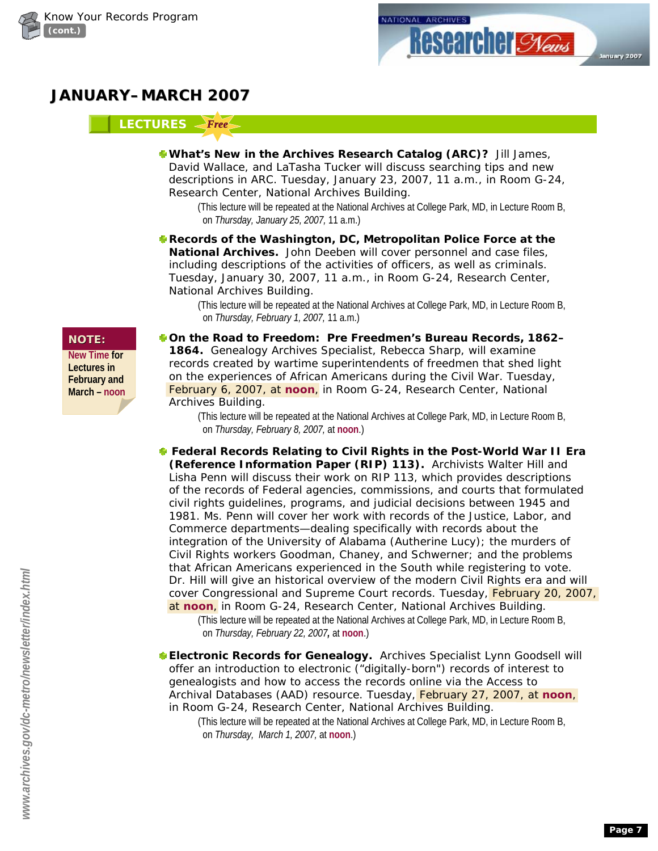



#### **JANUARY–MARCH 2007**

#### LECTURES *<Free*

**What's New in the Archives Research Catalog (ARC)?** Jill James, David Wallace, and LaTasha Tucker will discuss searching tips and new descriptions in ARC. *Tuesday, January 23, 2007,* 11 a.m., in Room G-24, Research Center, National Archives Building.

(This lecture will be repeated at the National Archives at College Park, MD, in Lecture Room B, on *Thursday, January 25, 2007,* 11 a.m.)

**Records of the Washington, DC, Metropolitan Police Force at the National Archives.** John Deeben will cover personnel and case files, including descriptions of the activities of officers, as well as criminals. *Tuesday, January 30, 2007,* 11 a.m., in Room G-24, Research Center, National Archives Building*.*

(This lecture will be repeated at the National Archives at College Park, MD, in Lecture Room B, on *Thursday, February 1, 2007,* 11 a.m.)

**New Time for Lectures in February and March – noon**

**NOTE: On the Road to Freedom: Pre Freedmen's Bureau Records, 1862– 1864.** Genealogy Archives Specialist, Rebecca Sharp, will examine records created by wartime superintendents of freedmen that shed light on the experiences of African Americans during the Civil War. *Tuesday, February 6, 2007,* at **noon**, in Room G-24, Research Center, National Archives Building.

> (This lecture will be repeated at the National Archives at College Park, MD, in Lecture Room B, on *Thursday, February 8, 2007,* at **noon**.)

**Federal Records Relating to Civil Rights in the Post-World War II Era (Reference Information Paper (RIP) 113).** Archivists Walter Hill and Lisha Penn will discuss their work on RIP 113, which provides descriptions of the records of Federal agencies, commissions, and courts that formulated civil rights guidelines, programs, and judicial decisions between 1945 and 1981. Ms. Penn will cover her work with records of the Justice, Labor, and Commerce departments—dealing specifically with records about the integration of the University of Alabama (Autherine Lucy); the murders of Civil Rights workers Goodman, Chaney, and Schwerner; and the problems that African Americans experienced in the South while registering to vote. Dr. Hill will give an historical overview of the modern Civil Rights era and will cover Congressional and Supreme Court records. *Tuesday, February 20, 2007,* at **noon**, in Room G-24, Research Center, National Archives Building*.*

(This lecture will be repeated at the National Archives at College Park, MD, in Lecture Room B, on *Thursday, February 22, 2007,* at **noon**.)

- **Electronic Records for Genealogy.** Archives Specialist Lynn Goodsell will offer an introduction to electronic ("digitally-born") records of interest to genealogists and how to access the records online via the Access to Archival Databases (AAD) resource. *Tuesday, February 27, 2007,* at **noon**, in Room G-24, Research Center, National Archives Building.
	- (This lecture will be repeated at the National Archives at College Park, MD, in Lecture Room B, on *Thursday, March 1, 2007,* at **noon**.)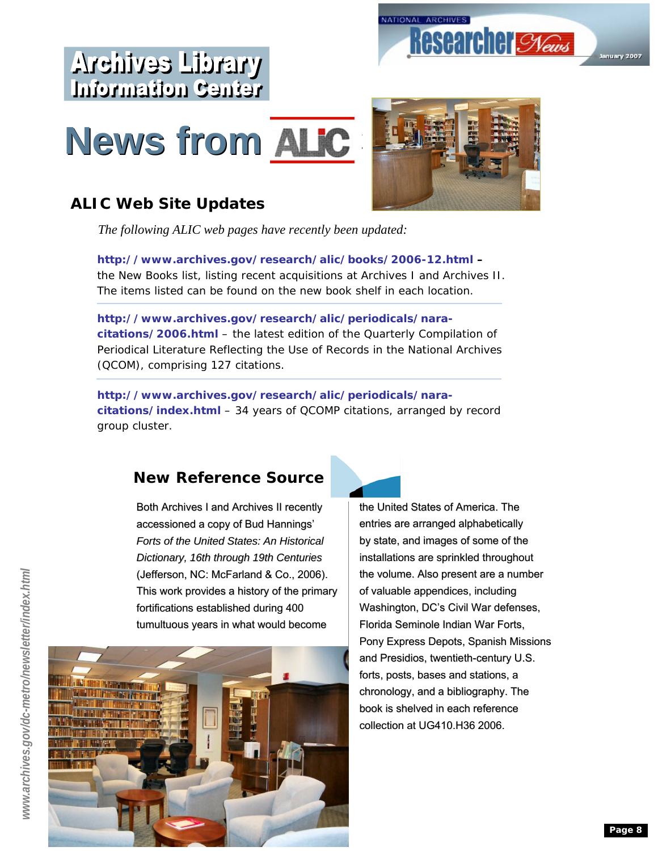

# **News from ALIC News from ALIC**





#### **ALIC Web Site Updates**

*The following ALIC web pages have recently been updated:*

*http://www.archives.gov/research/alic/books/2006-12.html* **–** the New Books list, listing recent acquisitions at Archives I and Archives II. The items listed can be found on the new book shelf in each location.

*http://www.archives.gov/research/alic/periodicals/naracitations/2006.html* – the latest edition of the Quarterly Compilation of Periodical Literature Reflecting the Use of Records in the National Archives (QCOM), comprising 127 citations.

*http://www.archives.gov/research/alic/periodicals/naracitations/index.html* – 34 years of QCOMP citations, arranged by record group cluster.

#### **New Reference Source**

Both Archives I and Archives II recently accessioned a copy of Bud Hannings' *Forts of the United States: An Historical Dictionary, 16th through 19th Centuries* (Jefferson, NC: McFarland & Co., 2006). This work provides a history of the primary fortifications established during 400 tumultuous years in what would become





the United States of America. The entries are arranged alphabetically by state, and images of some of the installations are sprinkled throughout the volume. Also present are a number of valuable appendices, including Washington, DC's Civil War defenses, Florida Seminole Indian War Forts, Pony Express Depots, Spanish Missions and Presidios, twentieth-century U.S. forts, posts, bases and stations, a chronology, and a bibliography. The book is shelved in each reference collection at UG410.H36 2006.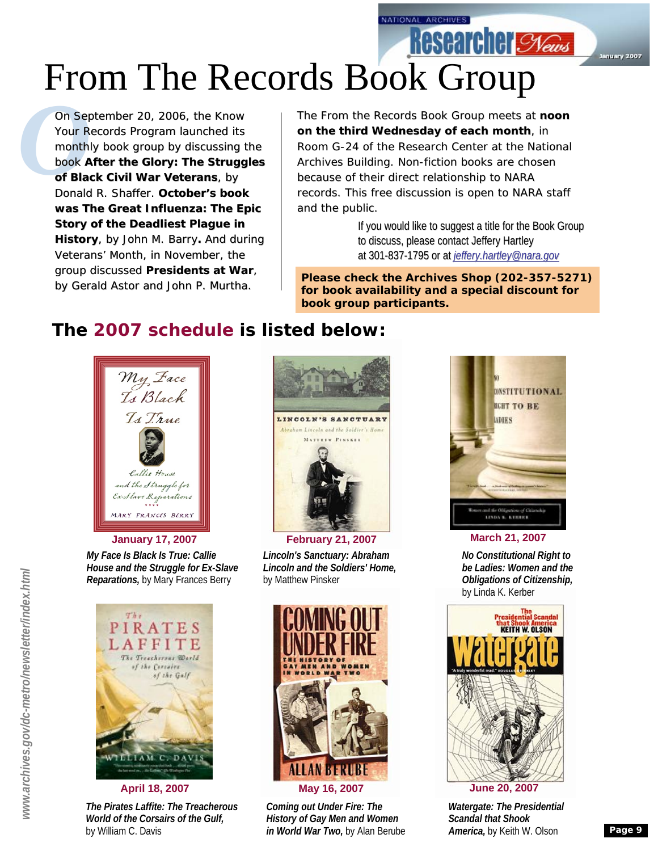NATIONAL ARCHIVES

# From The Records Book Group

On Ser<br>
Your R<br>
month<br>
book A<br>
of Blay<br>
Donald On September 20, 2006, the Know On September 20, 2006, the Know Your Records Program launched its Your Records Program launched monthly book group by discussing the group by discussing the book *After the Glory: The Struggles*  book *After the Glory: The Struggles*  of Black Civil War Veterans, by Donald R. Shaffer. **October's book book was** *The Great Influenza: The Epic Story of the Deadliest Plague in*  **was** *The Great Influenza: The Epic***<br>***Story of the Deadliest Plague in<br><i>History,* **by John M. Barry. And during** Veterans' Month, in November, the Month, in group discussed *Presidents at War*, *at* by Gerald Astor and John P. Murtha. by Gerald Astor and John P. Murtha.

The From the Records Book Group meets at **noon on the third Wednesday of each month**, in Room G-24 of the Research Center at the National Archives Building. Non-fiction books are chosen because of their direct relationship to NARA records. This free discussion is open to NARA staff and the public.

> If you would like to suggest a title for the Book Group to discuss, please contact Jeffery Hartley at 301-837-1795 or at 1795 or at *jeffery.hartley@nara.gov jeffery.hartley@nara.gov*

**Researcher Stews** 

January 2007

**Please check the Archives Shop (202-357-5271) for book availability and a special discount for book group participants.**

#### **The 2007 schedule is listed below:**



*My Face Is Black Is True: Callie House and the Struggle for Ex-Slave Reparations,* by Mary Frances Berry



*The Pirates Laffite: The Treacherous World of the Corsairs of the Gulf,*  by William C. Davis



*Lincoln's Sanctuary: Abraham Lincoln and the Soldiers' Home,*  by Matthew Pinsker



*Coming out Under Fire: The History of Gay Men and Women in World War Two,* by Alan Berube



**January 17, 2007 February 21, 2007 March 21, 2007** 

*No Constitutional Right to be Ladies: Women and the Obligations of Citizenship,*  by Linda K. Kerber



*Watergate: The Presidential Scandal that Shook America,* by Keith W. Olson